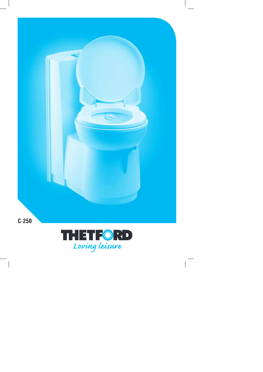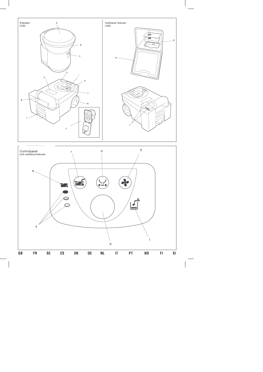

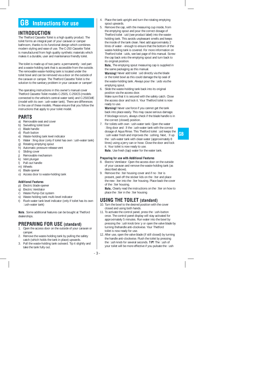# **GB** Instructions for use

### **INTRODUCTION**

The Thetford Cassette Toilet is a high quality product. The toilet forms an integral part of your caravan or camper bathroom, thanks to its functional design which combines modern styling and ease of use. The C-250 Cassette Toilet is manufactured from high quality synthetic materials which makes it a durable, user and maintenance friendly toilet.

The toilet is made up of two parts: a permanently  $\Box$  xed part and a waste-holding tank that is accessible from the outside. The removable waste-holding tank is located under the toilet bowl and can be removed via a door on the outside of the caravan or camper. The Thetford Cassette Toilet is the solution to the sanitary problem in your caravan or camper!

The operating instructions in this owner's manual cover Thetford Cassette Toilet models C-250S, C-250CS (models connected to the vehicle's central water tank) and C-250CWE  $($ model with its own  $\Box$ ush-water tank $)$ . There are differences in the use of these models. Please ensure that you follow the instructions that apply to your toilet model.

### **PARTS**

- a) Removable seat and cover
- b) Swivelling toilet bowl
- c) Blade handle
- d) Flush button
- e) Waste-holding tank level indicator
- f) Water Iling door (only if toilet has own Lush-water tank)
- g) Rotating emptying spout
- h) Automatic pressure release vent
- i) Sliding cover
- j) Removable mechanism
- k) Vent plunger
- l) Pull-out handle
- m) Wheels
- n) Blade opener
- o) Access door to waste-holding tank

### **Additional Features**

- p) Electric blade opener
- q) Electric Ventilator
- r) Waste Pump-Out system
- s) Waste-holding tank multi-level indicator
- t) Flush-water tank level indicator (only if toilet has its own ush-water tank)

Note Some additional features can be bought at Thetford dealerships.

### **PREPARING FOR USE (standard)**

- 1. Open the access door on the outside of your caravan or camper.
- 2. Remove the waste-holding tank by pulling the safety catch (which holds the tank in place) upwards.
- 3. Pull the waste-holding tank outward. Tip it slightly and take the tank fully out.
- 4. Place the tank upright and turn the rotating emptying spout upwards.
- 5. Remove the cap, with the measuring cup inside, from the emptying spout and pour the correct dosage of Thetford toilet  $\Box$ uid (see product label) into the wasteholding tank. This avoids unpleasant smells and keeps the inside of the tank clean. Next add approximately 2 litres of water - enough to ensure that the bottom of the waste-holding tank is covered. For more information on Thetford toilet Luids, see last page of this manual. Screw the cap back onto the emptying spout and turn back to its original position.

Note. The emptying spout measuring cap is supplied in the same packaging as this manual.

Warning! Never add toilet  $\Box$ uid directly via the blade or the toilet bowl as this could damage the lip seal of the waste-holding tank. Always pour the  $\Box$ uids via the emptying spout.

6. Slide the waste-holding tank back into its original position via the access door.

 Make sure that it is secured with the safety catch. Close the access door and lock it. Your Thetford toilet is now ready to use.

Warning! Never use force if you cannot get the tank back into place easily. This may cause serious damage. If blockage occurs, always check if the blade handle is in the correct (closed) position.

7. For toilets with own Lush-water tank: Open the water  $\Box$ ling door and  $\Box$  the  $\Box$ ush-water tank with the correct dosage of Aqua Rinse. This Thetford toilet Luid keeps the  $\Box$ ush water fresh and improves the  $\Box$ ushing. Next,  $\Box$ l up the  $\Box$ ush-water tank with clean water (approximately 8 litres) using a jerry can or hose. Close the door and lock it. Your toilet is now ready to use.

Note. Use fresh (tap) water for the water tank.

### Preparing for use with Additional Features

- 8. Electric Ventilator: Open the access door on the outside of your caravan and remove the waste-holding tank (as described above).
- 9. Remove the lter housing cover and if no lter is present, peel off the sticker lids on the  $\Box$ ter and place the new lter into the lter housing. Place back the cover of the lter housing.

Note. Clearly read the instructions on the liter on how to place the  $\Box$ ter in the  $\Box$ ter housing

### **USING THE TOILET (standard)**

- 10. Turn the bowl to the desired position with the cover closed and using both hands.
- 11. To activate the control panel, press the ush-button once. The control panel display will stay activated for approximately 5 minutes. Run water into the bowl by pressing the Lush knob briety or open the valve blade by turning thehandle anti-clockwise. Your Thetford toilet is now ready for use.
- 12. After use, open the valve blade (if still closed) by turning the handle anti-clockwise. Flush the toilet by pressing the  $\Box$ ush knob for several seconds. TIP! The  $\Box$ ush of your toilet will be more effective if you pulsate the Lush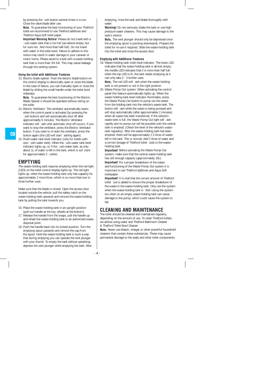by pressing the  $\Box$ ush button several times in a row. Close the valve blade after use.

Note. To guarantee the best functioning of your Thetford toilet we recommend to use Thetford additives and Thetford Aqua Soft toilet paper.

Important Warning Notice! Please do not travel with a ush-water tank that is too full (we advise empty, but for sure not lled more than half-full). Do not travel with water in the toilet bowl. Failure to adhere to this notice may result in water damage to your caravan or motor home. Please avoid to travel with a waste-holding tank that is more than 3/4 full. This may cause leakage through the venting system.

#### Using the toilet with Additional Features

13. Electric blade opener: Push the electric blade button on the control display to electrically open or close the blade. In the case of failure, you can manually open or close the blade by sliding the small handle under the toilet bowl sideways.

Note. To quarantee the best functioning of the Electric Blade Opener it should be operated without sitting on the toilet.

- 14. Electric Ventilator: The ventilator automatically starts when the control panel is activated (by pressing the ush button) and will automatically shut off after approximately 5 minutes. The Electric Ventilator Indicator will Lash until automatic shut-off occurs. If you want to stop the ventilator, press the Electric Ventilator button. If you want to re-start the ventilator, press the button again (the LED will start Lashing again).
- 15. Flush-water tank level indicator (only for toilets with own  $\Box$ ush-water tank): When the  $\Box$ ush-water tank level indicator lights up, rell the Lush-water tank, as only about 1L of water is left in the tank, which is suf $\Box$ cient for approximately 2 Lushes.

### **EMPTYING**

The waste-holding tank requires emptying when the red light (LED) on the toilet control display lights up. The red light lights up, when the waste-holding tank only has capacity for approximately 2 more litres, which is no more than two to three further uses.

Make sure that the blade is closed. Open the access door located outside the vehicle, pull the safety catch on the waste-holding tank upwards and remove the waste-holding tank by pulling the tank towards you.

- 16. Place the waste-holding tank in an upright position (pull-out handle at the top, wheels at the bottom).
- 17. Release the handle from the snaps, pull the handle up and wheel the waste-holding tank to an authorized waste disposal point.
- 18. Push the handle back into its locked position. Turn the emptying spout upwards and remove the cap from the spout. Hold the waste-holding tank in such a way that during emptying you can operate the vent plunger with your thumb. To empty the tank without splashing, depress the vent plunger while emptying the tank. After

emptying, rinse the tank and blade thoroughly with water.

Warning! Do not seriously shake the tank or use high pressure water cleaners. This may cause damage to the tank's interior.

Note. The vent plunger should only be depressed once the emptying spout is pointing downwards. Prepare the toilet for re-use if required. Slide the waste-holding tank into the toilet and close the access door.

#### **Emptying with Additional Features**

19. Waste-holding tank multi-level indicator: The lower LED indicates that the waste-holding tank is almost empty; the middle LED indicates that it is more than half full; when the top LED is lit, the tank needs emptying as it can only take 2 - 3 further uses. Note. The red LED will Lash when the waste-holding

tank is not present or not in the right position.

20. Waste Pump-Out system: When activating the control panel this feature automatically lights up. When the waste-holding tank level indicator illuminates, press the Waste Pump-Out button to pump out the waste from the holding tank into the vehicle's waste tank. The button will Lash while the waste is being pumped and will stop automatically (after approximately 2 minutes) when all waste has been transferred. If the vehicle's waste tank is full, the Waste Pump-Out light will Lash rapidly and no pump-out will be possible until the central tank is emptied. (Check the level of the vehicle's waste tank regularly). After the waste-holding tank has been emptied, there will be approximately 1.5 litres of waste left in the tank. This is normal. Add 2 litres of water and a correct dosage of Thetford toilet uids to the wasteholding tank.

Important! Before activating the Waste Pump-Out system, make sure that the central waste-holding tank has still enough capacity (approximately 18L) Important! For a proper breakdown of the waste and functioning of the Waste Pump-Out system it is important to use Thetford additives and Aqua Soft toiletpaper.

Important! It is vital that the correct amount of Thetford toilet uid is added to ensure the proper breakdown of the waste in the waste-holding tank. Only use the system when the waste-holding tank is  $\Box$  led. Using the system too often on an empty waste-holding tank can cause damage to the pump, which could cause the system to fail.

### CLEANING AND MAINTENANCE

The toilet should be cleaned and maintained regularly, depending on the amount of use. To clean Thetford toilets, we advise using water and Thetford Bathroom Cleaner & Thetford Toilet Bowl Cleaner.

Note Never use bleach, vinegar or other powerful household cleaners that contain these substances. These may cause permanent damage to the seals and other toilet components.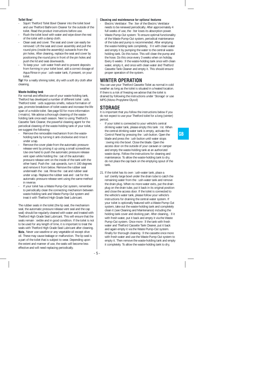#### **Toilet Bowl**

- Squirt Thetford Toilet Bowl Cleaner into the toilet bowl and use Thetford Bathroom Cleaner for the outside of the toilet. Read the product instructions before use.
- Flush the toilet bowl with water and wipe down the rest of the toilet with a damp cloth.
- Clean seat and cover. The seat and cover can easily be removed: Lift the seat and cover assembly and pull the round pins (inside the assembly) outwards from the pin holes. After cleaning, replace the seat and cover by positioning the round pins in front of the pin holes and push the lid and seat downwards.
- To keep your Lush water fresh and to prevent deposits from forming in your toilet bowl, add a correct dosage of Aqua Rinse in your Lush-water tank, if present, on your toilet.

Tip! For a really shining toilet, dry with a soft dry cloth after cleaning.

#### Waste-holding tank

For normal and effective use of your waste-holding tank, Thetford has developed a number of different toilet  $\Box$ uids. Thetford toilet uids suppress smells, reduce formation of gas, promote breakdown of toilet waste and increase the life span of a mobile toilet. See page 50 for more information (=matrix). We advise a thorough cleaning of the wasteholding tank once each season. Next to using Thetford's Cassette Tank Cleaner, the powerful cleaning agent for the periodical cleaning of the waste-holding tank of your toilet, we suggest the following:

- Remove the removable mechanism from the wasteholding tank by turning it anti-clockwise and rinse it under a tap.
- Remove the cover plate from the automatic pressure release vent by prising it up using a small screwdriver. Use one hand to push the automatic pressure release vent open while holding the **coat of the automatic** pressure release vent on the inside of the tank with the other hand. Push the Coat upwards, turn it 180 degrees and remove it from below. Remove the rubber seal underneath the Foat. Rinse the Foat and rubber seal under a tap. Replace the rubber seal and Coat for the automatic pressure release vent using the same method in reverse.
- If your toilet has a Waste Pump-Out system, remember to periodically clean the connecting mechanism between waste-holding tank and Waste Pump-Out system and treat it with Thetford High Grade Seal Lubricant.

The rubber seals in the toilet (the lip seal, the mechanism seal, the automatic pressure release vent seal and the cap seal) should be regularly cleaned with water and treated with Thetford High Grade Seal Lubricant. This will ensure that the seals remain Dexible and in good condition. If the toilet is not to be used for any length of time, it is important to treat the seals with Thetford High Grade Seal Lubricant after cleaning. Note. Never use vaseline or any vegetable oil except olive oil. These may cause leakage or malfunction. The lip seal is a part of the toilet that is subject to wear. Depending upon the extent and manner of use, the seals will become less effective and will need replacing periodically.

#### **Cleaning and maintenance for optional features**

- Electric Ventilator: The liter of the Electric Ventilator needs to be renewed periodically. After approximately 4 full weeks of use, the lter loses its absorption power.
- Waste Pump-Out system: To ensure optimal functionality of the Waste Pump-Out system, periodical maintenance of the tube and pump is recommended. After emptying the waste-holding tank completely. If it with clean water and empty it by pumping the water to the central wasteholding tank. Do this twice. This will clean the pump and the hose. Do this once every 3 weeks when on holiday. Every 6 weeks II the waste-holding tank once with clean water, empty it, and once with clean water and Thetford Cassette Tank Cleaner and empty it. This should ensure proper operation of the system.

### **WINTER OPERATION**

You can use your Thetford Cassette Toilet as normal in cold weather as long as the toilet is situated in a heated location. If there is a risk of freezing we advise that the toilet is drained by following the instructions under 'Storage' or use MPG (Mono Propylene Glycol)

### STORAGE

It is important that you follow the instructions below if you do not expect to use your Thetford toilet for a long (winter) period.

- If your toilet is connected to your vehicle's central drinking water tank, please empty this tank  $\Box$ rst. When the central drinking water tank is empty, activate the Control Panel by pressing the Lush button. Open the blade and press the  $\Box$ ush button until water stops owing into the bowl. Close the blade. Open the access door on the outside of your caravan or camper and empty the waste-holding tank at an authorized waste dump. Follow the instructions for cleaning and maintenance. To allow the waste-holding tank to dry, do not place the cap back on the emptying spout of the tank.
- 21. If the toilet has its own Lush-water tank, place a suf ciently large bowl under the drain tube to catch the remaining water from the Lush-water tank and remove the drain plug. When no more water exits, put the drain plug on the drain tube, put it back in its original position and close the access door. If the toilet is connected to the vehicle's water tank, please follow your vehicle's instructions for draining the central water system. If your toilet is optionally featured with a Waste Pump-Out system, take out the waste-holding tank and completely clean it (see Cleaning and Maintenance) including the holding tank cover and docking part. After cleaning, Il it with fresh water, put it back and empty it via the Waste Pump-Out system. Once more II the tank with fresh water and Thetford Cassette Tank Cleaner, put it back and again empty it via the Waste Pump-Out system. Finally for thorough cleaning II the cassette once more with fresh water and use the Waste Pump-Out system to empty it. Then remove the waste-holding tank and empty it completely. To allow the waste-holding tank to dry,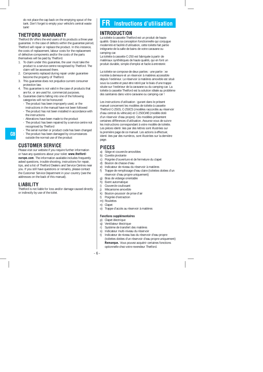do not place the cap back on the emptying spout of the tank. Don't forget to empty your vehicle's central waste tank!

### **THETEORD WARRANTY**

Thetford BV offers the end users of its products a three year guarantee. In the case of defects within the guarantee period, Thetford will repair or replace the product. In this instance, the costs of replacement, labour costs for the replacement of defective components and/or the costs of the parts themselves will be paid by Thetford.

- 1. To claim under this guarantee, the user must take the product to a service centre recognised by Thetford. The claim will be assessed there.
- 2. Components replaced during repair under guarantee become the property of Thetford.
- 3. This guarantee does not prejudice current consumer protection law.
- 4. This guarantee is not valid in the case of products that are for, or are used for, commercial purposes.
- 5. Guarantee claims falling into one of the following categories will not be honoured:
	- The product has been improperly used, or the instructions in the manual have not been followed
	- The product has not been installed in accordance with the instructions
	- Alterations have been made to the product
	- The product has been repaired by a service centre not recognised by Thetford
	- The serial number or product code has been changed
	- The product has been damaged by circumstances outside the normal use of the product

### **CUSTOMER SERVICE**

Please visit our website if you require further information or have any questions about your toilet: www.thetfordeurope.com. The information available includes frequently asked questions, trouble shooting, instructions for repair, tips, and a list of Thetford Dealers and Service Centres near you. If you still have questions or remarks, please contact the Customer Service Department in your country (see the addresses on the back of this manual).

### **LIABILITY**

Thetford is not liable for loss and/or damage caused directly or indirectly by use of the toilet.

# **FR** Instructions d'utilisation

### **INTRODUCTION**

La toilette à cassette Thetford est un produit de haute qualité. Grace à sa conception fonctionnelle qui conjugue modernité et facilité d'utilisation, cette toilette fait partie intégrante de la salle de bains de votre caravane ou camping-car.

La toilette à cassette C-250 est fabriquée à partir de matériaux synthétiques de haute qualité, qui en font un produit durable, simple d'emploi et facile à entretenir.

La toilette se compose de deux parties : une partie Dixe montée à demeure et un réservoir à matières accessible depuis l'extérieur. Le réservoir à matières amovible est situé sous la cuvette et peut etre retiré par le biais d'une trappe située sur l'extérieur de la caravane ou du camping-car. La toilette à cassette Thetford est la solution idéale au problème des sanitaires dans votre caravane ou camping-car !

Les instructions d'utilisation gurant dans le présent manuel concernent les modèles de toilette à cassette Thetford C-250S, C-250CS (modèles raccordés au réservoir d'eau central du véhicule) et C-250CWE (modèle doté d'un réservoir d'eau propre). Ces modèles présentent certaines différences d'utilisation. Assurez-vous de suivre les instructions correspondant à votre modèle de toilette. Les pièces identi<sup>c</sup>ées par des lettres sont illustrées sur la première page de ce manuel. Les actions à effectuer, identi ées par des numéros, sont illustrées sur la dernière page.

### **PIECES**

- a) Siège et couvercle amovibles
- b) Cuvette pivotante
- c) Poignée d'ouverture et de fermeture du clapet
- d) Bouton de chasse d'eau
- e) Indicateur de niveau du réservoir à matières
- f) Trappe de remplissage d'eau claire (toilettes dotées d'un réservoir d'eau propre uniquement)
- g) Bras de vidange orientable
- h) Event automatique
- i) Couvercle coulissant
- j) Mécanisme amovible
- k) Bouton-poussoir de prise d'air
- l) Poignée d'extraction
- m) Roulettes
- n) Clapet
- o) Trappe d'accès au réservoir à matières

### **Fonctions supplémentaires**

- p) Clapet électrique
- q) Ventilateur électrique
- r) Système de transfert des matières
- s) Indicateur multi-niveau du réservoir
- t) Indicateur de niveau bas du réservoir d'eau propre (toilettes dotées d'un réservoir d'eau propre uniquement) Remarque. Vous pouvez acquérir certaines fonctions optionnelle chez votre revendeur Thetford.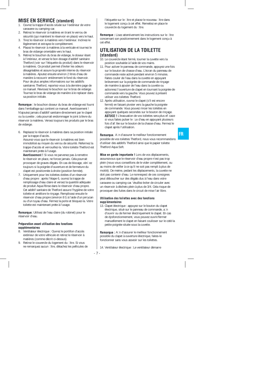### **MISE EN SERVICE (standard)**

- 1. Ouvrez la trappe d'accès située sur l'extérieur de votre caravane ou camping-car.
- 2. Retirez le réservoir à matières en tirant le verrou de sécurité (qui maintient le réservoir en place) vers le haut.
- 3. Tirez le réservoir à matières vers l'extérieur. Inclinez-le légèrement et extrayez-le complètement.
- 4. Placez le réservoir à matières à la verticale et tournez le bras de vidange orientable vers le haut.
- 5. Retirez le bouchon du bras de vidange, le doseur étant à l'intérieur, et versez le bon dosage d'additif sanitaire Thetford (voir sur l'étiquette du produit) dans le réservoir à matières. Ce produit permet d'éviter les odeurs désagréables et assure la propreté interne du réservoir a` matie`res. Ajoutez ensuite environ 2 litres d'eau de manière à recouvrir entièrement le fond du réservoir. Pour de plus amples informations sur les additifs sanitaires Thetford, reportez-vous à la dernière page de ce manuel. Revissez le bouchon sur le bras de vidange. Tournez le bras de vidange de manière à le replacer dans sa position initiale.

Remarque : le bouchon doseur du bras de vidange est fourni dans l'emballage qui contient ce manuel. Avertissement ! N'ajoutez jamais d'additif sanitaire directement par le clapet ou la cuvette ; cela pourrait endommager le joint à lèvre du réservoir à matières. Versez toujours les produits par le bras de vidange.

6. Replacez le réservoir à matières dans sa position initiale par la trappe d'accès.

Assurez-vous que le réservoir à matières est bien immobilisé au moyen du verrou de sécurité. Refermez la trappe d'accès et verrouillez-la. Votre toilette Thetford est maintenant prete à l'usage.

Avertissement ! Si vous ne parvenez pas à remettre le réservoir en place, ne forcez jamais. Cela pourrait provoquer de graves dégats. En cas de blocage, vériez toujours si la poignée d'ouverture et de fermeture du clapet est positionnée à droite (position fermée).

7. Uniquement pour les toilettes dotées d'un réservoir d'eau propre : après l'étape 6, ouvrez la trappe de remplissage d'eau claire et versez la quantité adéquate de produit Aqua Rinse dans le réservoir d'eau propre. Cet additif sanitaire de Thetford assure l'hygiène de votre toilette et améliore le rinçage. Remplissez ensuite le réservoir d'eau propre (environ 8 l) à l'aide d'un jerrycan ou d'un tuyau d'eau. Fermez la porte et bloquez-la. Votre toilette est maintenant prete à l'usage.

Remarque: Utilisez de l'eau claire (du robinet) pour le réservoir d'eau.

#### Préparation avant utilisation des fonctions supplémentaires

- 8. Ventilateur électrique : Ouvrez le portillon d'accès extérieur de votre véhicule et retirez le réservoir à matières (comme décrit ci-dessus).
- 9. Retirez le couvercle du logement du  $\Box$ tre. Si vous ne remarquez aucun ltre, détachez les pellicules de

l'étiquette sur le ltre et placez le nouveau ltre dans le logement conçu à cet effet. Remettez en place le couvercle du logement du **Itre**.

Remarque : Lisez attentivement les instructions sur le litre concernant son positionnement dans le logement conçu à cet effet.

### UTILISATION DE LA TOILETTE (standard)

- 10. Le couvercle étant fermé, tourner la cuvette vers la position souhaitée à l'aide de vos mains.
- 11. Pour activer le panneau de commande, appuyez une fois sur le bouton de chasse d'eau. L'écran du panneau de commande reste activé pendant environ 5 minutes. Faites couler de l'eau dans la cuvette en appuyant brièvement sur la poignée de commande de rincage de manière à ajouter de l'eau dans la cuvette ou actionnez l'ouverture de clapet en tournant la poignée de commande vers la gauche. Vous pouvez à présent utiliser vos toilettes Thetford.
- 12. Après utilisation, ouvrez le clapet (s'il est encore fermé) en faisant pivoter vers la gauche la poignée de commande. Vous pouvez rincer les toilettes en appuyant quelques secondes sur le bouton de rinçage. ASTUCE! L'évacuation de vos toilettes sera plus efficace si vous faites pulser le **Lux d'eau en appuyant plusieurs** fois d'af $\Box$ ée sur le bouton de la chasse d'eau. Fermez le clapet après l'utilisation.

Remarque, An d'assurer le meilleur fonctionnement possible de vos toilettes Thetford, nous vous recommandons d'utiliser des additifs Thetford ainsi que le papier toilette Thetford Aqua Soft.

Mise en garde importante ! Lors de vos déplacements, assurezvous que le réservoir d'eau propre n'est pas trop plein (nous vous conseillons de le vider complètement, ou au moins de veiller à ce qu'il ne soit pas rempli à plus de moitié). De meme, pedant les déplacements, la cuvette ne doit pas contenir d'eau. Le nonrespect de ces consignes peut déboucher sur des dégats dus à l'eau dans votre caravane ou camping-car. Veuillez éviter de circuler avec un réservoir à déchets plein à plus de 3/4. Cela risque de provoquer des fuites dans le circuit de mise l'air libre.

#### Utilisation des toilettes avec des fonctions supplémentaires

13. Clapet électrique : appuyez sur le bouton du clapet électrique, situé sur le panneau de commande, a $\Box$ n d'ouvrir ou de fermer électriquement le clapet. En cas de dysfonctionnement, vous pouvez ouvrir/fermer manuellement le clapet en faisant coulisser sur le coté la petite poignée située sous la cuvette.

Remarque: An d'assurer le meilleur fonctionnement possible du clapet à ouverture électrique, faites-le fonctionner sans vous asseoir sur les toilettes.

14. Ventilateur électrique : Le ventilateur démarre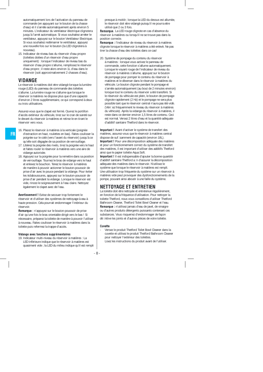automatiquement lors de l'activation du panneau de commande (en appuyant sur le bouton de la chasse d'eau) et il s'arrete automatiquement après environ 5 minutes. L'indicateur du ventilateur électrique clignotera jusqu'à l'arret automatique. Si vous souhaitez arreter le ventilateur, appuyez sur le bouton Ventilateur Electrique. Si vous souhaitez redémarrer le ventilateur, appuyez une nouvelle fois sur le bouton (la LED clignotera a` nouveau).

15. Indicateur de niveau bas du réservoir d'eau propre (toilettes dotées d'un réservoir d'eau propre uniquement) : lorsque l'indicateur de niveau bas du réservoir d'eau propre s'allume, remplissez le réservoir d'eau propre ; il reste alors environ 1L d'eau dans le réservoir (soit approximativement 2 chasses d'eau).

### **VIDANGF**

Le réservoir à matières doit etre vidangé lorsque la lumière rouge (LED) du panneau de commande des toilettes s'allume. La lumière rouge ne s'allume que lorsque le réservoir à matières ne dispose plus que d'une capacité d'environ 2 litres supplémentaire, ce qui correspond à deux ou trois utilisations.

Assurez-vous que le clapet est fermé. Ouvrez le portillon d'accès extérieur du véhicule, tirez sur le cran de sureté sur le devant du réservoir à matières et retirez-le en tirant le réservoir vers vous.

- **FR**
- 16. Placez le réservoir à matières à la verticale (poignée) d'extraction en haut, roulettes en bas). Faites coulisser la poignée sur le côté (vers l'avant du réservoir) jusqu'à ce qu'elle soit dégagée de sa position de verrouillage.
- 17. Libérez la poignée des rivets, tirez la poignée vers le haut et faites rouler le réservoir à matières vers une aire de vidange autorisée.
- 18. Appuyez sur la poignée pour la remettre dans sa position de verrouillage. Tournez le bras de vidange vers le haut et enlevez le bouchon. Tenez le réservoir à matières de manière à pouvoir actionner le bouton-poussoir de prise d'air avec le pouce pendant la vidange. Pour éviter les éclaboussures, appuyez sur le bouton-poussoir de prise d'air pendant la vidange. Lorsque le réservoir est vide, rincez-le soigneusement à l'eau claire. Nettoyez également le clapet avec de l'eau.

Avertissement ! Evitez de secouer trop fortement le réservoir et d'utiliser des systèmes de nettoyage à eau à haute pression. Cela pourrait endommager l'intérieur du réservoir.

Remarque : n'appuyez sur le bouton-poussoir de prise d'air qu'une fois le bras orientable dirigé vers le bas ! Si nécessaire, préparez la toilette de manière à pouvoir l'utiliser à nouveau. Faites coulisser le réservoir à matières dans la toilette puis refermez la trappe d'accès.

#### Vidance avec fonctions supplémentaires

19. Indicateur multi-niveau du réservoir à matières : La LED inférieure indique que le réservoir à matières est quasiment vide ; la LED du milieu indique qu'il est rempli presque à moitié : lorsque la LED du dessus est allumée. le réservoir doit être vidangé puisqu'il ne pourra être utilisé que 2 ou 3 fois.

Remarque. La LED rouge clignote en cas d'absence du réservoir à matières ou lorsqu'il ne se trouve pas dans la position correcte.

Remarque : l'indicateur de niveau du réservoir à matières clignote lorsque le réservoir à matières a été enlevé. Ne pas tirer la chasse d'eau des toilettes dans ce cas!

20. Système de pompage du contenu du réservoir a` matie`res : lorsque vous activez le panneau de commande, cette fonction s'allume automatiquement. Lorsque le voyant rouge de l'indicateur de niveau du réservoir à matières s'allume, appuyez sur le bouton de pompage pour pomper le contenu du réservoir à matières et le déverser dans le réservoir à matières du véhicule. Le bouton clignote pendant le pompage et s'arrete automatiquement (au bout de 2 minutes environ) lorsque tout le contenu du réservoir a été transféré. Si le réservoir du véhicule est plein, le bouton de pompage clignote rapidement (2 Hz) et le pompage ne sera plus possible tant que le réservoir central n'aura pas été vidé. (Véri $\equiv$ ez fréquemment le niveau du réservoir à matières du véhicule). Après la vidange du réservoir à matières, il reste dans ce dernier environ 1,5 litres de contenu. Ceci est normal. Versez 2 litres d'eau et la quantité adéquate d'additif sanitaire Thetford dans le réservoir.

Important ! Avant d'activer le système de transfert des matières, assurez-vous que le réservoir à matières central dispose de suf Esamment de capacité (environ 18L). Important! Pour une décomposition adéquate des matières et pour un fonctionnement correct du système de transfert des matières, il est important d'utiliser des additifs Thetford ainsi que le papier toilette Aqua Soft.

Important ! Il est indispensable d'ajouter la bonne quantité d'additif sanitaire Thetford a<sup>n</sup> d'assurer la décomposition adéquate des matières dans le réservoir. N'utilisez le système que lorsque le réservoir à matières est rempli. Une utilisation trop fréquente du système sur un réservoir à matières vide peut provoquer des dysfonctionnements de la pompe, pouvant ainsi aboutir à une faille du système.

### **NETTOYAGE ET ENTRETIEN**

La toilette doit etre nettoyée et entretenue régulièrement, en fonction de la fréquence d'utilisation. Pour nettoyer la toilette Thetford, nous vous conseillons d'utiliser Thetford Bathroom Cleaner, Thetford Toilet Bowl Cleaner et l'eau. Remarque : n'utilisez jamais d'eau de javel, de vinaigre ou d'autres produits détergents puissants contenant ces substances. Vous risqueriez d'endommager de facon dé<sup>nitive les joints et d'autres pièces de votre toilette.</sup>

### Cuvette

Versez le produit Thetford Toilet Bowl Cleaner dans la cuvette et utilisez le produit Thetford Bathroom Cleaner pour nettoyer l'extérieur des toilettes. Lisez les instructions du produit avant de l'utiliser.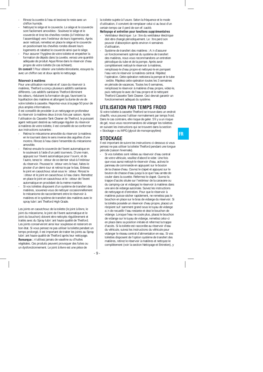- Rincez la cuvette à l'eau et lessivez le reste avec un chiffon humide.
- Nettoyez le siège et le couvercle. Le siège et le couvercle sont facilement amovibles : Soulevez le siège et le couvercle et tirez les chevilles rondes (à l'intérieur de l'assemblage) vers l'extérieur de leurs logements. Après avoir nettoyé, remettez en place le siège et le couvercle en positionnant les chevilles rondes devant leurs logements et rabattez le couvercle ainsi que le siège.
- Pour assurer l'hygiène de votre toilette et empecher la formation de dépots dans la cuvette, versez une quantité adéquate de produit Aqua Rinse dans le réservoir d'eau propre de votre toilette (le cas échéant).

Un conseil ! Pour obtenir une toilette étincelante, essuyez-la avec un chiffon sec et doux après le nettoyage.

#### Réservoir à matières

Pour une utilisation normale et ef cace du réservoir à matières, Thetford a concu plusieurs additifs sanitaires différents. Les additifs sanitaires Thetford éliminent les odeurs, réduisent la formation de gaz, favorisent la liquéfaction des matières et allongent la durée de vie de votre toilette à cassette. Reportez-vous à la page 50 pour de plus amples informations.

Il est conseillé de procéder à un nettoyage en profondeur du réservoir à matières deux à trois fois par saison. Après l'utilisation du Cassette Tank Cleaner de Thetford, le puissant agent nettoyant destiné au nettoyage réqulier du réservoir à matières de votre toilette, il est conseillé de se conformer aux instructions suivantes :

- Retirez le mécanisme amovible du réservoir à matières en le tournant dans le sens inverse des aiguilles d'une montre. Rincez à l'eau claire l'ensemble du mécanisme amovible.
- Retirez ensuite le couvercle de l'évent automatique en le soulevant à l'aide d'un petit tournevis. D'une main, appuyez sur l'évent automatique pour l'ouvrir, et de l'autre, tenez le  $\Box$ otteur de ce dernier situé à l'intérieur du réservoir. Poussez le Dotteur vers le haut, faites-le pivoter d'un demi-tour et retirez-le par le bas. Enlevez le joint en caoutchouc situé sous le Dotteur. Rincez le Dotteur et le joint en caoutchouc à l'eau claire. Remettez en place le joint en caoutchouc et le Fotteur de l'évent automatique en procédant de la meme manière.
- Si vos toilettes disposent d'un système de transfert des matières, souvenez-vous de nettoyer occasionnellement le mécanisme de raccordement entre le réservoir à matières et le système de transfert des matières avec le spray lubrillant Thetford High Grade.

Les joints en caoutchouc de la toilette (le joint à lèvre, le joint du mécanisme, le joint de l'évent automatique et le joint du bouchon) doivent etre nettoyés réqulièrement et traités avec du Spray lubri<sup>c</sup>ant haute qualité de Thetford. Les joints conserveront ainsi leur souplesse et resteront en bon état. Si vous pensez ne pas utiliser la toilette pendant un temps prolongé, il est important de traiter les joints au Spray lubrizant haute qualité de Thetford après leur nettoyage. Remarque : n'utilisez jamais de vaseline ou d'huiles végétales. Ces produits peuvent provoquer des fuites ou un dysfonctionnement. Le joint à lèvre est une pièce de

la toilette suiette à l'usure. Selon la fréquence et le mode d'utilisation, il convient de remplacer celui-ci au bout d'un certain temps car il perd de son efficacité.<br>Nettovage et entretien pour fonctions supplémentaires

- Ventilateur électrique : Le **Itre du ventilateur électrique** doit être changé périodiquement. Le **Itre perd son** pouvoir d'absorption après environ 4 semaines d'utilisation.
- Système de transfert des matières : An d'assurer un fonctionnement optimal du système de transfert des matières, nous vous recommandons un entretien périodique du tube et de la pompe. Après avoir complètement nettoyé le réservoir à matières, remplissez-le d'eau propre et nettoyez-le en pompant l'eau vers le réservoir à matières central. Répétez l'opération. Cette opération nettoiera la pompe et le tube **Lexible. Répétez cette opération toutes les 3 semaines** en période de vacances. Toutes les 6 semaines, remplissez le réservoir à matières d'eau propre, videz-le, puis nettoyez-le avec de l'eau propre et le nettoyant Thetford Cassette Tank Cleaner. Ceci devrait garantir un fonctionnement adéquat du système.

### UTILISATION PAR TEMPS FROID

Si votre toilette à cassette Thetford se trouve dans un endroit chauffé, vous pouvez l'utiliser normalement par temps froid. Dans le cas contraire, elle risque de geler. S'il y a un risque de gel, nous vous recommandons de vidanger les toilettes en suivant les instructions qui se trouvent dans la section « Stockage » ou MPG (glycol de monopropylène)

### **STOCKAGE**

Il est important de suivre les instructions ci-dessous si vous pensez ne pas utiliser la toilette Thetford pendant une longue période (saison hivernale).

Si vos toilettes sont reliées au réservoir d'eau central de votre véhicule, veuillez d'abord le vider. Une fois que vous aurez nettoyé le réservoir d'eau, activez le panneau de commande en appuyant sur le bouton de la chasse d'eau. Ouvrez le clapet et appuyez sur le bouton de chasse d'eau jusqu'à ce que l'eau arrete de couler dans la cuvette. Refermez le clapet. Ouvrez la trappe d'accès située sur l'extérieur de la caravane ou du camping-car et vidangez le réservoir à matières dans une aire de vidange autorisée. Suivez les instructions de nettoyage et d'entretien. Pour que le réservoir à matières puisse sécher rapidement, ne remettez pas le bouchon en place sur le bras de vidange du réservoir. Si la toilette possède un réservoir d'eau propre, placez un récipient suf<sup>c</sup>samment grand sous le tuyau de vidange a<sup>n</sup> de recueillir l'eau restante et otez le bouchon de vidange. Lorsque l'eau ne coule plus, placez le bouchon de vidange sur le tuyau de vidange, remettez celui-ci en place dans sa position initiale et refermez la trappe d'accès. Si la toilette est raccordée au réservoir d'eau du véhicule, suivez les instructions du véhicule pour vidanger le réseau central d'alimentation en eau. Si vos toilettes disposent de l'option système de transfert des matières, retirez le réservoir à matières et nettoyez-le complètement (voir la section Nettoyage et Entretien), y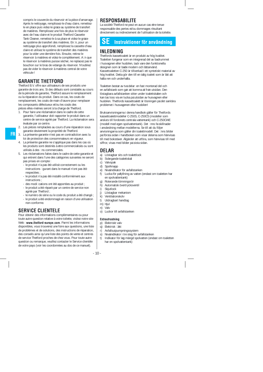compris le couvercle du réservoir et la pièce d'amarrage. Après le nettoyage, remplissez-le d'eau claire, remettezle en place puis videz-le grace au système de transfert de matières. Remplissez une fois de plus le réservoir avec de l'eau claire et le produit Thetford Cassette Tank Cleaner, remettez-le à sa place et videz-le grace au système de transfert des matières. En n. pour un nettoyage plus approfondi, remplissez la cassette d'eau claire et utilisez le système de transfert des matières pour la vider une dernière fois. Ensuite, retirez le réservoir à matières et videz-le complètement. A n que le réservoir à matières puisse sécher, ne replacez pas le bouchon sur le bras de vidange du réservoir. N'oubliez pas de vider le réservoir à matières central de votre véhicule !

### **GARANTIE THETFORD**

Thetford B.V. offre aux utilisateurs de ses produits une garantie de trois ans. Si des défauts sont constatés au cours de la période de garantie. Thetford assure le remplacement ou la re´paration du produit. Dans ce cas, les couts de remplacement, les couts de main d'œuvre pour remplacer les composants défectueux et/ou les couts des pièces elles-memes seront à la charge de Thetford.

- 1. Pour faire une réclamation dans le cadre de cette garantie, l'utilisateur doit rapporter le produit dans un centre de service agréé par Thetford. La réclamation sera évaluée par ce centre.
- 2. Les pièces remplacées au cours d'une réparation sous garantie deviennent la propriété de Thetford.
- 3. La présente garantie n'est pas en contradiction avec la loi de protection des consommateurs en vigueur.
- 4. La présente garantie ne s'applique pas dans les cas où les produits sont destinés à etre commercialisés ou sont utilisés à des **ns commerciales**.
- 5. Les réclamations faites dans le cadre de cette garantie et qui entrent dans l'une des catégories suivantes ne seront pas prises en compte :
	- le produit n'a pas été utilisé correctement ou les instructions *gurant dans le manuel n'ont pas été* respectées :
	- le produit n'a pas été installé conformément aux instructions ;
	- des modi<sup>c</sup>cations ont été apportées au produit ;
	- le produit a été réparé par un centre de service non agréé par Thetford ;
	- le numéro de série ou le code du produit a été changé ;
	- le produit a été endommagé en raison d'une utilisation non-conforme.

# **SERVICE CLIENTELE**

Pour obtenir des informations complémentaires ou pour toute autre question relative à votre toilette, visitez notre site Web : www.thetford-europe.com. Parmi les informations disponibles, vous trouverez une foire aux questions, une liste de problèmes et de solutions, des instructions de réparation, des conseils ainsi qu'une liste des points de vente et centres de service Thetford proches de chez vous. Pour toute autre question ou remarque, veuillez contacter le Service clientèle de votre pays (voir les coordonnées au dos de ce manuel).

### **RESPONSABILITE**

La société Thetford ne peut en aucun cas etre tenue responsable des pertes et/ou dommages résultant directement ou indirectement de l'utilisation de la toilette.

#### **SE** Instruktioner för användning

### **INI FDNING**

Thetfords kassettoalett är en produkt av hög kvalitet. Toaletten fungerar som en integrerad del av badrummet i husvagnen eller husbilen, tack vare den funktionella designen som är bade modern och lättanvänd. Kassettoaletten C-250 är tillverkad i ett syntetiskt material av hög kvalitet. Detta gör den till en talig toalett som är lätt att halla ren och underhalla.

Toaletten bestar av tva delar: en fast monterad del och en avfallstank som gar att komma at fran utsidan. Den löstagbara avfallstanken sitter under toalettskalen och kan tas loss via en lucka pa utsidan av husvagnen eller husbilen. Thetfords kassettoalett är lösningen pa det sanitära problemet i husvagenen eller husbilen!

Bruksanvisningarna i denna handbok gäller för Thetfords kassettoalettmodeller C-250S, C-250CS (modeller som ansluts till fordonets centrala vattentank) och C-250CWE (modell med egen spolvattentank). Det **Inns fa skillnader** i användning mellan modellerna. Se till att du följer anvisningarna som gäller din toalettmodell. Det **Inns bilder** pa första sidan i handboken som visar delarna som hänvisas till med bokstäver. Atgärder att utföra, som hänvisas till med siffror, visas med bilder pa sista sidan.

### **DELAR**

- a) Löstagbar sits och toalettlock
- b) Svängande toalettskal
- c) Valvspak
- d) Spolknapp
- e) Nivaindikator för avfallstanken
	- f) Lucka för pafyllning av vatten (endast om toaletten har en spolvattentank)
	- g) Roterande tömningsrör
- h) Automatisk övertrycksventil
- i) Skiutlock
- j) Löstagbar mekanism
- k) Ventilationskolv
- l) Utdragbart handtag
- m) Hiul
- n) Valv
- o) Luckor till avfallstanken

### Extrautrustning

- p) Elektriskt valv
- g) Elektrisk akt
- r) Avfallsutpumpningssystem
- s) Nivaindikator i tre steg för avfallstanken
- t) Indikator för lag mängd spolvatten (endast om toaletten har en spolvattentank)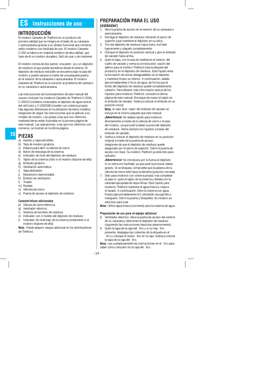# **ES** Instrucciones de uso

## **INTRODUCCIÓN**

El inodoro Cassette de Thetford es un producto de primera calidad que se integra en el bano de su caravana o autocaravana gracias a su diseno funcional que combina estilo moderno con facilidad de uso. El inodoro Cassette C-250 se fabrica en material sintético de alta calidad, que hace de él un inodoro duradero, fácil de usar y de mantener.

 $\boxdot$  inodoro consta de dos partes: una parte  $\Box$  a y un depósito de residuos al que puede accederse desde el exterior. El depo´sito de residuos extra´ble se encuentra bajo la taza del inodoro y puede sacarse a través de una pequeña puerta en el exterior de la caravana o autocaravana. El inodoro Cassette de Thetford es la solución al problema del sanitario en su caravana o autocaravana.

Las instrucciones de funcionamiento de este manual del usuario incluyen los inodoros Cassette de Thetford C-250S, C-250CS (modelos conectados al depósito de agua central del veh´culo) y C-250CWE (modelo con cisterna propia). Hay algunas diferencias en la utilización de estos modelos. Asegúrese de seguir las instrucciones que se aplican a su modelo de inodoro. Las piezas a las que nos referimos mediante letras están ilustradas en la primera página de este manual. Las operaciones, a las que nos referimos con números, se ilustran en la última página.

#### ES **PIEZAS**

- a) Asiento y tapa extra´bles
- b) Taza de inodoro giratoria
- c) Palanca para abrir la válvula de cierre
- d) Botón de descarga de la cisterna
- e) Indicador de nivel del depósito de residuos
- f) Tapón de la cisterna (sólo si el inodoro dispone de ella)
- g) Embudo giratorio
- h) Ventilación automática
- i) Tapa deslizante
- j) Mecanismo desmontable
- k) Émbolo de ventilación
- l) Tirador
- m) Ruedas
- n) Válvulla de cierre
- o) Puerta de acceso al depósito de residuos

### **Características adicionales**

- p) Válvula de cierre eléctrica
- g) Ventilador eléctrico
- r) Sistema de bombeo de residuos
- s) Indicador con 3 niveles del depósito de residuos
- t) Indicador de nivel bajo de la cisterna (solamente si el inodoro dispone de ella)

Nota. Puede adquirir equipo adicional en los distribuidores de Thetford.

### PREPARACIÓN PARA EL USO (estándar)

- 1. Abra la puerta de acceso en el exterior de su caravana o autocaravana.
- 2. Extraiga el depo´sito de residuos retirando el perno de sujeción (que mantiene el depósito en su sitio).
- 3. Tire del depo´sito de residuos hacia fuera. Incl´nelo ligeramente y sáquelo completamente.
- 4. Coloque el depósito en posición vertical y gire el embudo de vaciado hacia arriba.
- 5. Quite la tapa, con la taza de medida en el interior, del cuello de vaciado y vierta la correcta dosi cación del aditivo para el inodoro Thetford (vea la etiqueta del producto) en el depósito de residuos. Este l'aujdo evita la formación de olores desagradables en el depósito y mantiene limpio su interior. A continuación, anada aproximadamente 2 litros de agua, de forma que el fondo del depósito de residuos quede completamente cubierto. Para obtener más información acerca de los líquidos para inodoros Thetford, consulte la última página de este manual. Enrosque de nuevo el tapón en el embudo de vaciado. Vuelva a colocar el embudo en su posición inicial.

Nota: el vaso dosi cador del embudo de vaciado se incluye en el mismo paquete que este manual. iAdvertencia! No anada líquido para inodoros directamente a través de la válvula de cierre o la taza del inodoro, ya que podría dañar la junta del depósito de residuos. Vierta siempre los líquidos a través del embudo de vaciado.

6. Vuelva a colocar el depósito de residuos en su posición original a través de la puerta de acceso. Asegúrese de que el depósito de residuos quede asegurado por el perno de sujeción. Cierre la puerta de acceso con llave. Su inodoro Thetford va está listo para utilizarlo.

¡Advertencia! No introduzca por la fuerza el depósito si no entra con facilidad, ya que podría provocar daños graves. Si se bloquea, compruebe que la palanca de la válvula de cierre esté hacia la derecha (posición cerrada).

7. Sólo para inodoros con cisterna propia: tras completar el paso 6, quite el tapón de la cisterna y llénela con la cantidad apropiada de Aqua Rinse. Este l´quido para inodoros Thetford mantiene el agua fresca y mejora el lavado. A continuación, llene la cisterna con agua limpia (aproximadamente 8 l) utilizando una garrafa o manguera. Cierre la puerta y bloquéela. Su inodoro ya está listo para usar.

Utilice agua fresca (corriente) para la cisterna de agua.

#### Preparación de uso para el equipo adicional

- 8. Ventilador eléctrico: Abra la puerta de acceso del exterior de su caravana y desmonte el depósito de residuos (siguiendo las instrucciones descritas anteriormente).
- 9. Quite la tapa de la caia del ltro y si no hay ltro presente, despegue las cubiertas de la etiqueta en el ltro y coloque el nuevo ltro en la caja. Vuelva a colocar la tapa de la caja del ltro.

Nota: Lea cuidadosamente las instrucciones en el ltro para saber cómo colocarlo en la caja del ltro.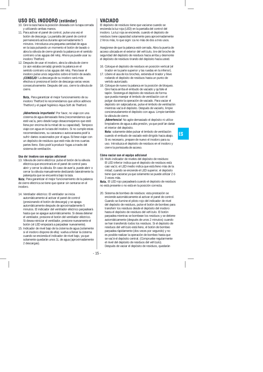# **USO DEL INODORO** (estándar)

- 10. Gire la taza hacia la posición deseada con la tapa cerrada y utilizando ambas manos.
- 11. Para activar el panel de control, pulse una vez el botón de descarga. La pantalla del panel de control permanecerá activa durante aproximadamente 5 minutos. Introduzca una pequena cantidad de agua en la taza pulsando un momento el botón de lavado o abra la válvula de cierre girando la palanca en el sentido contrario a las agujas del reloj. Ahora ya puede usar su inodoro Thetford.
- 12. Después de usar el inodoro, abra la válvula de cierre (si aún estaba cerrada) girando la palanca en el sentido contrario a las agujas del reloj. Para lavar el inodoro pulse unos segundos sobre el botón de avado. iCONSEJO! La descarga de su inodoro será más efectiva si presiona el botón de descarga varias veces consecutivamente. Después del uso, cierre la válvula de cierre.

Nota. Para garantizar el mejor funcionamiento de su inodoro Thetford le recomendamos que utilice aditivos Thetford y el papel higiénico Aqua Soft de Thetford.

¡Advertencia importante! Por favor, no viaje con una cisterna de agua demasiado llena (recomendamos que esté vacía, pero desde luego desaconsejamos que esté llena por encima de la mitad de su capacidad). Tampoco viaje con agua en la taza del inodoro. Si no cumple estas recomendaciones, su caravana o autocaravana podría sufrir daños ocasionados por el agua. Evítese viajar con un depósito de residuos que esté más de tres cuartas partes lleno. Esto podría producir fugas a través del sistema de ventilación

### Uso del inodoro con equipo adicional

13. Válvula de cierre eléctrica: pulse el botón de la válvula eléctrica que encontrará en el panel de control para abrir y cerrar la válvula. En caso de avería, puede abrir o cerrar la válvula manualmente deslizando lateralmente la palanquita que se encuentra bajo la taza.

Nota: Para garantizar el mejor funcionamiento de la palanca de cierre eléctrica se tiene que operar sin sentarse en el inodoro.

- 14. Ventilador eléctrico: El ventilador se inicia automáticamente al activar el panel de control (presionando el botón de descarga) y se apaga automáticamente después de aproximadamente 5 minutos. El indicador del ventilador eléctrico parpadeará hasta que se apague automáticamente. Si desea detener el ventilador, presione el botón del ventilador eléctrico. Si desea reiniciar el ventilador, presione nuevamente el botón (el LED empezará a parpadear nuevamente).
- 15. Indicador de nivel bajo de la cisterna de agua (solamente si el inodoro dispone de ella): vuelva a llenar la cisterna cuando se encienda el indicador de nivel bajo, ya que solamente quedarán unos 1L de agua (aproximadamente 2 descargas).

### **VACIADO**

El depo´sito de residuos tiene que vaciarse cuando se encienda la luz roja (LED) en la pantalla del control del inodoro. La luz roja se enciende, cuando el depósito de residuos tiene capacidad solamente para aproximadamente 2 litros más, lo que signi $\sqrt{a}$  no más de dos a tres usos.

Asegúrese de que la palanca esté cerrada. Abra la puerta de acceso ubicada en el exterior del veh´culo, tire del broche de seguridad del depósito de residuos hacia arriba y desmonte el depósito de residuos tirando del depósito hacia usted.

- 16. Coloque el depósito de residuos en posición vertical (el tirador en la parte superior y las ruedas en la inferior).
- 17. Libere el asa de los broches, extienda el tirador y lleve rodando el depósito de residuos hasta un punto de vertido autorizado.
- 18. Coloque de nuevo la palanca en la posición de bloqueo. Gire hacia arriba el embudo de vaciado y qu´tele el tapón. Sostenga el depósito de residuos de forma que pueda manejar el émbolo de ventilación con el pulgar durante la operación de vaciado. Para vaciar el depósito sin salpicaduras, pulse el émbolo de ventilación mientras vacía el depósito. Después de vaciarlo, limpie concienzudamente el depósito con agua. Limpie también la válvula de cierre.

¡Advertencia! No agite demasiado el depósito ni utilice limpiadores de agua a alta presión, ya que podrían dañar el interior del depo´sito.

Nota: solamente debe pulsar el émbolo de ventilación cuando el embudo de vaciado esté dirigido hacia abajo. Si es necesario, prepare de nuevo el inodoro para su uso. Introduzca el depósito de residuos en el inodoro y cierre la portezuela de acceso.

### Cómo vaciar con el equipo adicional

19. Multi-indicador de niveles del depósito de residuos: El LED inferior indica que el depósito de residuos está casi vacío; el LED medio indica que está lleno más de la mitad; cuando se enciende el LED superior, el depósito tiene que vaciarse ya que solamente se puede utilizar 2 ó 3 veces más.

Nota, El LED rojo parpadeará cuando el depósito de residuos no está presente o no está en la posición correcta.

20. Sistema de bombeo de residuos: esta prestación se enciende automáticamente al activar el panel de control. Cuando se ilumine el piloto rojo del indicador de nivel del depósito de residuos, pulse el botón de bombeo para transferir los residuos desde el depósito del inodoro hasta el depósito de residuos del vehículo. El botón parpadea mientras se bombean los residuos y se detiene automáticamente (después de unos 2 minutos) cuando se han transferido todos los residuos. Si el depósito de residuos del vehículo está lleno, el botón de bombeo parpadea rápidamente (dos veces por segundo) y no es posible realizar la operación de bombeo hasta que se vacíe el depósito central. (Compruebe regularmente el nivel del depósito de residuos del vehículo). Después de vaciar el depósito de residuos, quedarán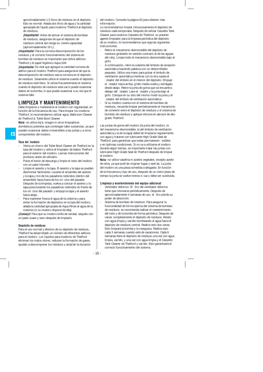aproximadamente 1,5 litros de residuos en el depósito. Esto es normal. Anada dos litros de agua y la cantidad apropiada de l'quido para inodoros Thetford al depósito de residuos.

**ilmportante!** Antes de activar el sistema de bombeo de residuos, asegúrese de que el depósito de residuos central aún tenga su ciente capacidad (aproximadamente 18 L).

ilmportante! Para la correcta descomposición de los residuos y el correcto funcionamiento del sistema de bombeo de residuos es importante que utilice aditivos Thetford y el papel higiénico Agua Soft.

ilmportante! Es vital que agregue la cantidad correcta de aditivo para el inodoro Thetford para asegurarse de que la descomposición de residuos sea la correcta en el depósito de residuos. Solamente utilice el sistema cuando el depósito de residuos esté lleno. Si utiliza frecuentemente el sistema cuando el depósito de residuos está vacío puede ocasionar danos en la bomba, lo que puede ocasionar a su vez que el sistema falle.

### **LIMPIEZA Y MANTENIMIENTO**

Debe limpiarse y mantenerse el inodoro con regularidad, en función de la frecuencia de uso. Para limpiar los inodoros Thetford, le recomendamos utilizar agua, Bathroom Cleaner de Thetford & Toilet Bowl Cleaner.

Nota: no utilice leifa, vinagre ni otros limpiadores domésticos potentes que contengan tales sustancias, ya que pueden ocasionar danos irreversibles a las juntas y a otros componentes del inodoro.

### Taza del inodoro

**ES** 

- Vierta un chorro del Toilet Bowl Cleaner de Thetford en la taza del inodoro y utilice el limpiador de banos Thetford para el exterior del inodoro. Lea las instrucciones del producto antes de utilizarlo.
- Pulse el botón de descarga y limpie el resto del inodoro con un pano hu´medo.
- Limpie el asiento y la tapa. El asiento y la tapa se pueden desmontar fácilmente: Levante el ensamble del asiento y la tapa y tire de los pasadores redondos (dentro del ensamble) hacia fuera de los ori<br>
cios del pasador. Después de la limpieza, vuelva a colocar el asiento y la tapa posicionando los pasadores redondos en frente de los oricios del pasador y empuje la tapa y el asiento hacia abajo.
- Para mantener fresca el agua de la cisterna y para evitar la formación de depósitos en la taza del inodoro, anada la cantidad apropiada de Aqua Rinse al agua de la cisterna (si su inodoro dispone de ella).

¡Consejo! Para que su inodoro brille de verdad, séquelo con un paño suave y seco después de limpiarlo.

#### Depósito de residuos

Para el uso normal y efectivo de su depósito de residuos, Thetford ha desarrollado un número de diferentes aditivos para el inodoro. Los líquidos para inodoros de Thetford eliminan los malos olores, reducen la formación de gases, ayudan a descomponer los residuos y amplían la duración

del inodoro. Consulte la página 50 para obtener más información.

Le recomendamos limpiar minuciosamente el depósito de residuos cada temporada. Después de utilizar Cassette Tank Cleaner para inodoros Cassette de Thetford, un potente agente limpiador para la limpieza periódica del depósito de su inodoro, le recomendamos que siga las siguientes instrucciones:

- Retire el mecanismo desmontable del depósito de residuos girándolo en sentido contrario al de las agujas del reloj. Limpie todo el mecanismo desmontable bajo el grifo.
- A continuación, retire la cubierta del émbolo de aireación automa´tica haciendo palanca con un destornillador pequeño. Utilice una mano para pulsar el émbolo de ventilación automática mientras con la otra sujeta el Dotador del émbolo en el interior del depósito. Empuje el cotador hacia arriba, gírelo media vuelta y extráigalo desde abajo. Retire la junta de goma que se encuentra debajo del otador. Lave el otador y la junta bajo el grifo. Coloque en su sitio del mismo modo la junta y el Totador del émbolo de ventilación automática.
- Si su inodoro cuenta con el sistema de bombeo de residuos, recuerde limpiar periódicamente el mecanismo de conexión entre el depósito de residuos y el sistema de bombeo de residuos y aplique silicona en aerosol de alto grado Thetford.

Las juntas de goma del inodoro (la junta del inodoro, la del mecanismo desmontable, la del émbolo de ventilación automática y la de la tapa) deberían limpiarse regularmente con agua y tratarse con lubricante High Grade Seal de Thetford, para garantizar que todas permanecen Dexibles y en óptimas condiciones. Si no va a utilizarse el inodoro durante algún tiempo, es importante tratar las juntas con lubricante High Grade Seal de Thetford después de limpiar el inodoro.

Nota: no utilice vaselina ni aceites vegetales, excepto aceite de oliva, ya que podrían originar fugas o averías. La junta del inodoro es una pieza sometida a desgaste. En función de la frecuencia y tipo de uso, después de un cierto plazo de tiempo la junta se vuelve menos elcaz y debe ser sustituida.

#### Limpieza y mantenimiento del equipo adicional

- Ventilador eléctrico: El ltro del ventilador eléctrico tiene que renovarse periódicamente. Después de aproximadamente 4 semanas de uso, el ltro pierde su poder de absorción.
- Sistema de bombeo de residuos: Para asegurar la funcionalidad de forma óptima del sistema de bombeo de residuos, se recomienda realizar el mantenimiento del tubo y de la bomba de forma periódica. Después de vaciar completamente el depósito de residuos, llénelo con agua limpia y vac´elo bombeando el agua hacia el depósito de residuos central. Realice esto dos veces. Esto limpiará la bomba y la manguera. Realice esto cada 3 semanas cuando esté de vacaciones. Cada 6 semanas llene el depósito de residuos una vez con agua limpia, vac´elo, y una vez con agua limpia y el Cassette Tank Cleaner de Thetford y vacíelo. Esto garantizará el correcto funcionamiento del sistema.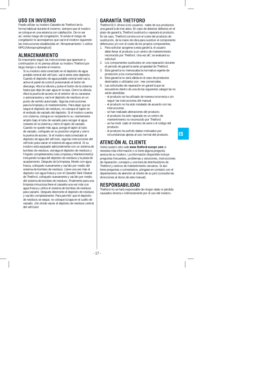# **USO EN INVIERNO**

Puede utilizar su inodoro Cassette de Thetford de la forma habitual durante el invierno, siempre que el inodoro se coloque en una estancia con calefacción. De no ser as<sup>r</sup>existe riesgo de congelación. Si existe el riesgo de congelacio´n le aconsejamos que vac´e el inodoro siguiendo las instrucciones establecidas en 'Almacenamiento' o utilice MPG (Monopropilenglicol)

## **ALMACENAMIENTO**

Es importante seguir las instrucciones que aparecen a continuación si no piensa utilizar su inodoro Thetford por largo tiempo o durante el invierno.

Si su inodoro está conectado en el depósito de agua potable central del vehículo, vacíe antes este depósito. Cuando el depósito de agua potable central esté vacío. active el panel de control presionando el botón de descarga. Abra la válvula y pulse el botón de la cisterna hasta que deje de caer agua en la taza. Cierre la válvula. Abra la puerta de acceso en el exterior de su caravana o autocaravana y vacíe el depósito de residuos en un punto de vertido autorizado. Siga las instrucciones para la limpieza y el mantenimiento. Para dejar que se seque el depósito de residuos, no coloque el tapón en el embudo de vaciado del depo´sito. Si el inodoro cuenta con cisterna, coloque un recipiente lo su<sup>ccientemente</sup> amplio bajo el tubo de vaciado para recoger el agua restante en la cisterna y retire el tapón de vaciado. Cuando no quede más agua, ponga el tapón al tubo de vaciado, colóquelo en su posición original y cierre la puerta de acceso. Si el inodoro está conectado al depósito de agua del vehículo, siga las instrucciones del vehículo para vaciar el sistema de agua central. Si su inodoro está equipado adicionalmente con un sistema de bombeo de residuos, extraiga el depósito de residuos y l'impielo completamente (vea Limpieza y Mantenimiento) incluyendo la tapa del depósito de residuos y la pieza de acoplamiento. Después de la limpieza, llénelo con agua fresca, colóquelo nuevamente y vacíelo por medio del sistema de bombeo de residuos. Llene una vez más el depo´sito con agua fresca y con el Cassette Tank Cleaner de Thetford, colóquelo nuevamente y vacíalo por medio del sistema de bombeo de residuos. Finalmente para una limpieza minuciosa llene el cassette una vez más con agua fresca y utilice el sistema de bombeo de residuos para vaciarlo. Después desmonte el depósito de residuos y vacíelo completamente. Para permitir que el depósito de residuos se seque, no coloque la tapa en el cuello de vaciado. ¡No olvide vaciar el depósito de residuos central del vehículo!

# **GARANTÍA THETFORD**

Thetford B.V. ofrece a los usuarios nales de sus productos una garantía de tres años. En caso de detectar defectos en el plazo de garantía. Thetford sustituirá o reparará el producto. En tal caso, Thetford correrá con el coste del producto de sustitución, de la mano de obra para sustituir el componente defectuoso y/o con el coste de los propios componentes.

- 1. Para solicitar acogerse a esta garant´a, el usuario debe llevar el producto a un centro de mantenimiento reconocido por Thetford. Una vez allí se evaluará su solicitud.
- 2. Los componentes sustituidos en una reparación durante el periodo de garantía serán propiedad de Thetford.
- 3. Esta garant´a no menoscaba la normativa vigente de protección a los consumidores.
- 4. Esta garantía no será válida en el caso de productos destinados o utilizados con nes comerciales.
- 5. Las solicitudes de reparación en garantía que se encuentren dentro de una de las siguientes categorías no serán atendidas:
	- el producto se ha utilizado de manera incorrecta o sin seguir las instrucciones del manual.
	- el producto no ha sido instalado de acuerdo con las instrucciones.
	- se han realizado alteraciones del producto.
	- el producto ha sido reparado en un centro de mantenimiento no reconocido por Thetford.
	- se ha modi $\Box$ cado el número de serie o el código del producto.
	- el producto ha sufrido danos motivados por circunstancias ajenas al uso normal del producto.

# ATENCIÓN AL CLIENTE

Visite nuestro sitio web www.thetford-europe.com si necesita más información o si tiene alguna pregunta acerca de su inodoro. La información disponible incluye preguntas frecuentes, problemas y soluciones, instrucciones de reparación, consejos y una lista de distribuidores de Thetford y centros de mantenimiento cercanos. Si aún tiene preguntas o comentarios, póngase en contacto con el departamento de atención al cliente de su país (consulte las direcciones al dorso de este manual).

# **RESPONSABILIDAD**

Thetford no se hará responsable de ningún daño ni pérdida causados directa o indirectamente por el uso del inodoro.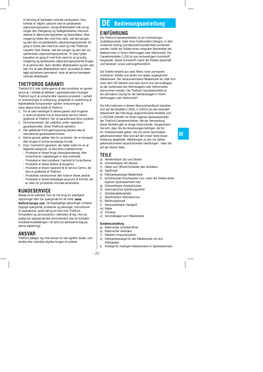til tømning af køretøjets centrale vandsystem. Hvis toilettet er valgfrit udstyret med et spildevandsudpumpningssystem, sa tag affaldstanken helt ud og rengør den (Rengøring og Vedligeholdelse) inklusive dækslet til akkumuleringstanken og bassindelen. Efter rengøring fyldes den med frisk vand, sæt den paligen og tøm den via spildevands-udpumpningssystemet. En gang til fyldes den med frisk vand og med Thetfords Cassette Tank Cleaner, sæt den pa igen og tøm den via spildevands-udpumpningssystemet. Til sidst fyldes kassetten en gang til med frisk vand for en grundig rengøring og spildevands-udpumpningssystemet bruges til at tømme den. Fjern derefter affaldstanken og tøm den helt. For at lade affaldstanken tørre, sa undlad at sætte laget pa tankens tømmetud. Husk at tømme køretøjets centrale affaldstank!

### **THETFORDS GARANTI**

Thetford B.V. yder slutbrugerne af dets produkter en garanti pa tre ar. I tilfælde af defekter i garantiperioden forpligter Thetford sig til at ombytte eller reparere produktet. I sa fald vil omkostninger til ombytning, arbejdsløn til udskiftning af fejlbehæftede komponenter og/eller omkostninger til selve delene blive betalt af Thetford.

- 1. For at være berettiget til denne garanti skal brugeren a<sup>r</sup>evere produktet hos et autoriseret Service Centre godkendt af Thetford. Der vil garantikravet blive vurderet.
- 2. De komponenter, der udskiftes under reparation i garantiperioden, bliver Thetfords ejendom.
- 3. Den gældende forbrugerlovgivning berøres ikke af nærværende garantibestemmelse.
- 4. Denne garanti gælder ikke for produkter, der er beregnet eller bruges til erhvervsmæssige formal.
- 5. Krav i henhold til garantien, der falder inden for en af følgende kategorier, vil ikke blive imødekommet:
	- Produktet er blevet brugt uhensigtsmæssigt, eller forskrifterne i vejledningen er ikke overholdt;
	- Produktet er ikke installeret i henhold til forskrifterne;
	- Produktet er blevet ændret af brugeren;
	- Produktet er blevet repareret af et Service Centre, der ikke er godkendt af Thetford;
	- Produktets serienummer eller kode er blevet ændret;
	- Produktet er blevet beskadiget pa grund af forhold, der er uden for produktets normale anvendelse.

### **KUNDESERVICE**

Besøg vores websted, hvis du har brug for yderligere oplysninger eller har spørgsmal om dit toilet: www. thetford-europe.com. De tilgængelige oplysninger omfatter hyppige spørgsmal, problemer og løsninger, instruktioner til reparationer, gode rad og en liste over Thetfordforhandlere og servicecentre i nærheden af dig. Hvis du stadig har spørgsmal eller kommentarer, kan du kontakte kundeserviceafdelingen i dit land (se adresserne bag pa denne vejledning).

### **ANSVAR**

Thetford patager sig intet ansvar for tab og/eller skade, som direkte eller indirekte skyldes brugen af toilettet.

# **DE** Bedienungsanleitung

### **FINFÜHRUNG**

Die Thetford Cassettentoilette ist ein hochwertiges Qualitätsprodukt. Dank ihres funktionellen Designs, in dem modernes Styling und Benutzerfreundlichkeit kombiniert werden, bildet die Toilette einen integralen Bestandteil des Badezimmers in Ihrem Wohnwagen oder Wohnmobil. Die Cassettentoilette C-250 ist aus hochwertigem Kunststoff hergestellt. Dieser Kunststoff macht die Toilette dauerhaft und benutzer- sowie wartungsfreundlich.

Die Toilette besteht aus zwei Teilen: einer permanent montierten Toilette und einem von außen zugänglichen Fäkalientank. Der herausnehmbare Fäkalientank be<sup>r</sup>ndet sich unter dem WC-Becken und kann durch eine Serviceklappe an der Außenseite des Wohnwagens oder Wohnmobils entnommen werden. Die Thetford Cassettentoilette ist die ultimative Lösung für die Sanitäranlagen in Ihrem Wohnwagen oder Wohnmobil!

Die Informationen in diesem Benutzerhandbuch beziehen sich auf die Modelle C-250S, C-250CS (an den zentralen Wassertank des Fahrzeugs angeschlossene Modelle) und C-250CWE (Modell mit einem eigenen Spülwassertank) der Thetford Cassettentoiletten. Bei der Verwendung dieser Modelle gibt es einige Unterschiede. Vergewissern Sie sich, dass Sie die Anweisungen befolgen, die für Ihr Toilettenmodell gelten. Die mit einem Buchstaben gekennzeichneten Teile sind auf der ersten Seite dieser Anleitung abgebildet. Abbildungen zu den mit Zahlen gekennzeichneten auszuführenden Handlungen Inden Sie auf der letzten Seite.

### TEILE

- a) Abnehmbarer Sitz und Deckel
- b) Schwenkbares WC-Becken
- c) Hebel zum Öffnen/Schließen des Schiebers
- d) Spülknopf
- e) Füllstandsanzeige Fäkalientank
- f) Einfüllstutzen Frischwasser (nur, wenn die Toilette einen eigenen Spülwassertank hat)
- g) Schwenkbarer Auslaufstutzen
- h) Automatisches Entlüftungsventil
- i) Schieberabdeckplatte
- j) Abnehmbarer Mechanismus
- k) Belüftungsknopf
- l) Herausziehbarer Handgriff
- m) Räder
- n) Schieber
- o) Serviceklappe zum Fäkalientank

#### Sonderausstattung

- p) Elektrischer Schieberöffner
- q) Elektrischer Ventilator
- r) Fäkalien-Umpumpsystem
- s) Füllstandsanzeige für den Fäkalientank mit drei **Füllständen**
- Anzeige für niedrigen Wasserstand im Spülwassertank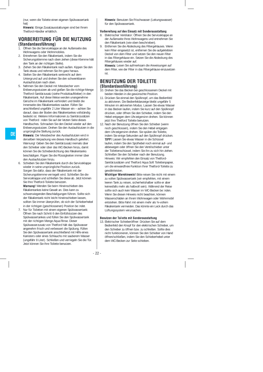(nur, wenn die Toilette einen eigenen Spülwassertank hat)

Hinweis: Einige Zusatzausstattungen sind bei Ihrem Thetford-Händler erhältlich.

### **VORBEREITUNG FÜR DIE NUTZUNG** (Standardausführung)

- 1. Öffnen Sie die Serviceklappe an der Außenseite des Wohnwagens oder Wohnmobiles.
- 2. Entnehmen Sie den Fäkalientank, indem Sie die Sicherungsklemme nach oben ziehen (diese Klemme hält den Tank an der richtigen Stelle).
- 3. Ziehen Sie den Fäkalientank nach außen. Kippen Sie den Tank etwas und nehmen Sie ihn ganz heraus.
- 4. Stellen Sie den Fäkalientank senkrecht auf dem Untergrund auf und drehen Sie den schwenkbaren Auslaufstutzen nach oben.
- 5. Nehmen Sie den Deckel mit Messbecher vom Entleerungsstutzen ab und gießen Sie die richtige Menge Thetford-Sanitärzusatz (siehe Produktaufkleber) in den Fäkalientank. Auf diese Weise werden unangenehme Gerüche im Fäkalientank verhindert und bleibt die Innenseite des Fäkalientankes sauber. Füllen Sie anschließend ungefähr 2 Liter Wasser ein – achten Sie darauf, dass der Boden des Fäkalientankes vollständig bedeckt ist. Weitere Informationen zu Sanitärzusätzen von Thetford **Inden Sie auf der letzten Seite dieses** Handbuches. Schrauben Sie den Deckel wieder auf den Entleerungsstutzen. Drehen Sie den Auslaufstutzen in die ursprüngliche Stellung zurück.
- Hinweis: Der Messbecher des Auslaufstutzen wird in derselben Verpackung wie dieses Handbuch geliefert. Warnung! Geben Sie den Sanitärzusatz niemals über den Schieber oder über das WC-Becken hinzu, damit können Sie die Schieberdichtung des Fäkalientanks beschädigen. Fügen Sie die Flüssigkeiten immer über den Auslaufstutzen hinzu.
- 6. Schieben Sie den Fäkalientank durch die Serviceklappe wieder in seine ursprüngliche Position zurück. Sorgen Sie dafür, dass der Fäkalientank mit der Sicherungsklemme verriegelt wird. Schließen Sie die Serviceklappe und schließen Sie diese ab. Jetzt können Sie Ihre Thetford-Toilette benutzen. Warnung! Wenden Sie beim Hineinschieben des

Fäkalientankes keine Gewalt an. Dies kann zu schwerwiegenden Beschädigungen führen. Sollte sich der Fäkalientank nicht leicht hineinschieben lassen. sollten Sie immer überprüfen, ob sich der Schieberhebel in der richtigen (geschlossenen) Position be $\Box$ ndet.

7. Nur für Toiletten mit einem eigenen Spülwassertank: Öffnen Sie nach Schritt 6 den Einfüllstutzen des Spülwassertankes und füllen Sie den Spülwassertank mit der richtigen Menge Aqua Rinse. Dieser Spülwasserzusatz von Thetford hält das Spülwasser angenehm frisch und verbessert die Spülung. Füllen Sie den Spülwassertank anschließend mit Hilfe eines Kanisters oder eines Schlauchs mit sauberem Wasser (ungefähr 8 Liter). Schließen und verriegeln Sie die Tür. Jetzt können Sie Ihre Toilette benutzen.

Hinweis: Benutzen Sie Frischwasser (Leitungswasser) für den Spülwassertank.

#### Vorbereitung auf den Einsatz mit Sonderausstattung

- 8. Elektrischer Ventilator: Öffnen Sie die Serviceklappe an der Außenseite Ihres Wohnwagens und entnehmen Sie den Fäkalientank (wie oben beschrieben).
- 9. Entfernen Sie die Abdeckung des Filtergehäuses. Wenn kein Filter eingesetzt ist, entfernen Sie die aufgeklebten Deckel von dem Filter und setzen Sie den neuen Filter in das Filtergehäuse ein. Setzen Sie die Abdeckung des Filtergehäuses wieder auf.

Hinweis: Lesen Sie aufmerksam die Anweisungen auf dem Filter, wie der Filter in das Filtergehäuse einzusetzen ist.

### **BENUTZUNG DER TOIL FTTE** (Standardausführung)

- 10. Drehen Sie das Becken bei geschlossenem Deckel mit beiden Händen in die gewünschte Position.
- 11. Drücken Sie einmal den Spülknopf, um das Bedienfeld zu aktivieren. Die Bedienfeldanzeige bleibt ungefähr 5 Minuten im aktivierten Modus. Lassen Sie etwas Wasser in das Becken laufen, indem Sie kurz auf den Spülknopf drücken, oder öffnen Sie den Schieber, indem Sie den Hebel entgegen dem Uhrzeigersinn drehen. Sie können jetzt Ihre Thetford Toilette benutzen.
- 12. Nach der Benutzung öffnen Sie den Schieber (wenn noch geschlossen), indem Sie den Hebel entgegen dem Uhrzeigersinn drehen. Sie spülen die Toilette, indem Sie einige Sekunden auf den Spülknopf drücken. TIPP! Lassen Sie etwas Wasser in die Schüssel laufen, indem Sie den Spülhebel noch einmal auf- und abbewegen oder öffnen Sie den Ventilschieber unter der Toilettenschüssel, indem Sie ihn zu sich hin ziehen. Schließen Sie den Schieber nach der Benutzung. Hinweis: Wir empfehlen den Einsatz von Thetford-Sanitärzusätzen und Thetford Aqua Soft Toilettenpapier, um die einwandfreie Funktion Ihrer Thetford-Toilette zu gewährleisten.

Wichtiger Warnhinweis! Bitte reisen Sie nicht mit einem zu vollen Spülwassertank (wir empfehlen, mit einem leeren Tank zu reisen, sicherheitshalber sollte er aber keinesfalls mehr als halbvoll sein). Während der Reise sollte sich auch kein Wasser im WC-Becken be<sup>nden</sup>. Wenn Sie diesen Hinweis nicht beachten, können Wasserschäden an Ihrem Wohnwagen oder Wohnmobil entstehen. Bitte Fahrt mit einem mehr als ¾-vollem Fäkalientank vermeiden. Das könnte ein Leck durch das Lüftungssystem verursachen.

#### Benutzen der Toilette mit Sonderausstattung

13. Elektrischer Schieberöffner: Drücken Sie auf dem Bedienfeld den Knopf für den elektrischen Schieber, um den Schieber zu öffnen bzw. zu schließen. Sollte dies nicht funktionieren, können Sie den Schieber von Hand öffnen/schließen, indem Sie den Schieberhebel unter dem WC-Becken zur Seite schieben.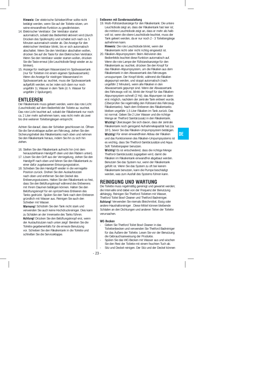Hinweis: Der elektrische Schieberöffner sollte nicht betätigt werden, wenn Sie auf der Toilette sitzen, um seine einwandfreie Funktion zu gewährleisten.

- 14. Elektrischer Ventilator: Der Ventilator startet automatisch, sobald das Bedienfeld aktiviert wird (durch Drücken des Spülknopfs) und schaltet sich nach ca. 5 Minuten automatisch wieder ab. Die Anzeige für den elektrischen Ventilator blinkt, bis er sich automatisch abschaltet. Wenn Sie den Ventilator abschalten wollen, drücken Sie auf die Taste für den Elektrischen Ventilator. Wenn Sie den Ventilator wieder starten wollen, drücken Sie die Taste erneut (die Leuchtdiode fängt wieder an zu blinken).
- 15. Anzeige für niedrigen Wasserstand im Spülwassertank (nur für Toiletten mit einem eigenen Spülwassertank): Wenn die Anzeige für niedrigen Wasserstand im Spülwassertank au euchtet, muss der Spülwassertank aufgefüllt werden; es be<sup>r</sup>nden sich dann nur noch ungefähr 1L Wasser in dem Tank (d. h. Wasser für ungefähr 2 Spülungen).

### **ENTLEEREN**

Der Fäkalientank muss geleert werden, wenn das rote Licht (Leuchtdiode) auf dem Bedienfeld der Toilette au euchtet. Das rote Licht leuchtet auf, sobald der Fäkalientank nur noch ca. 2 Liter mehr aufnehmen kann, was nicht mehr als zwei bis drei weiteren Toilettengängen entspricht.

Achten Sie darauf, dass der Schieber geschlossen ist. Öffnen Sie die Serviceklappe außen am Fahrzeug, ziehen Sie den Sicherungshebel des Fäkalientanks nach oben und nehmen Sie den Fäkalientank heraus, indem Sie ihn zu sich hin ziehen.

- 16. Stellen Sie den Fäkalientank aufrecht hin (mit dem herausziehbaren Handgriff oben und den Rädern unten).
- 17. Lösen Sie den Griff aus der Verriegelung, ziehen Sie den Handgriff nach oben und fahren Sie den Fäkalientank zu einer dafür zugelassenen Entsorgungsstation.
- 18. Schieben Sie den Handgriff wieder in die verriegelte Position zurück. Drehen Sie den Auslaufstutzen nach oben und entfernen Sie den Deckel des Entleerungsstutzens. Halten Sie den Fäkalientank so fest, dass Sie den Belüftungsknopf während des Entleerens mit Ihrem Daumen betätigen können. Halten Sie den Belüftungsknopf für ein spritzerfreies Entleeren des Tanks gedrückt. Spülen Sie den Tank nach dem Entleeren gründlich mit Wasser aus. Reinigen Sie auch den Schieber mit Wasser.

Warnung! Schütteln Sie den Tank nicht stark und verwenden Sie auch keine Hochdruckreiniger. Dies kann zu Schäden an der Innenseite des Tanks führen. Achtung! Drücken Sie den Belüftungsknopf erst, wenn der Auslaufstutzen nach unten zeigt! Bereiten Sie die Toilette gegebenenfalls für die erneute Benutzung vor. Schieben Sie den Fäkalientank in die Toilette und schließen Sie die Serviceklappe.

### Entleeren mit Sonderausstattung

19. Multi-Füllstandsanzeige für den Fäkalientank: Die untere Leuchtdiode zeigt an, dass der Fäkalientank fast leer ist; die mittlere Leuchtdiode zeigt an, dass er mehr als halb voll ist; wenn die obere Leuchtdiode leuchtet, muss der Tank geleert werden, da er nur noch 2 - 3 Toilettengänge aufnehmen kann.

Hinweis: Die rote Leuchtdiode blinkt, wenn der Fäkalientank nicht oder nicht richtig eingesetzt ist.

20. Fäkalien-Abpumpsystem: Beim Aktivieren des Bedienfelds leuchtet diese Funktion automatisch auf. Wenn die rote Lampe der Füllstandsanzeige für den Fäkalientank au⊡euchtet, drücken Sie den Knopf für das Fäkalien-Abpumpsystem, um die Fäkalien aus dem Fäkalientank in den Abwassertank des Fahrzeuges umzupumpen. Der Knopf blinkt, während die Fäkalien abgepumpt werden, und stoppt automatisch (nach ungefähr 2 Minuten), wenn alle Fäkalien in den Abwassertank gepumpt sind. Wenn der Abwassertank des Fahrzeugs voll ist, blinkt der Knopf für das Fäkalien-Abpumpsystem schnell (2 Hz); das Abpumpen ist dann erst möglich, nachdem der zentrale Tank entleert wurde. (Überprüfen Sie regelmäßig den Füllstand des Fahrzeug-Fäkalientanks). Nach dem Entleeren des Fäkalientanks bleiben ungefähr 1,5 Liter Fäkalien im Tank zurück. Das ist normal. Geben Sie 2 Liter Wasser und die richtige Menge an Thetford Sanitärzusatz in den Fäkalientank. Wichtig! Überzeugen Sie sich davon, dass der zentrale Fäkalientank noch genügend Aufnahmekapazität hat (ca. 18 l), bevor Sie das Fäkalien-Umpumpsystem betätigen. Wichtig! Für einen einwandfreien Abbau der Fäkalien und das Funktionieren des Fäkalien-Umpumpsystems ist es wichtig, dass Sie Thetford-Sanitärzusätze und Aqua Soft Toilettenpapier benutzen.

Wichtig! Es ist entscheidend, dass die richtige Menge Thetford-Sanitärzusätz zugegeben wird, damit die Fäkalien im Fäkalientank einwandfrei abgebaut werden. Benutzen Sie das System nur, wenn der Fäkalientank gefüllt ist. Wenn Sie das System zu oft bei leerem Fäkalientank benutzen, kann die Pumpe beschädigt werden, was zum Ausfall des Systems führen kann.

### **REINIGUNG UND WARTUNG**

Die Toilette muss regelmäßig gereinigt und gewartet werden: die Intervalle sind dabei von der Frequenz der Benutzung abhängig. Reinigen Sie Thetford-Toiletten mit Wasser. Thetford Toilet Bowl Cleaner und Thetford Badreiniger. Achtung! Verwenden Sie niemals Bleichmittel, Essig oder andere Haushaltsreiniger . Diese Mittel können bleibende Schäden an den Dichtungen und anderen Teilen der Toilette verursachen.

### **WC-Becken**

- Geben Sie Thetford Toilet Bowl Cleaner in das Toilettenbecken und verwenden Sie Thetford Badreiniger für das Äußere der Toilette. Lesen Sie vor der Benutzung die Gebrauchsanweisung der Produkte.
- Spülen Sie das WC-Becken mit Wasser aus und wischen Sie den Rest der Toilette mit einem feuchten Tuch ab.
- Sitz und Deckel reinigen. Der Sitz und der Deckel können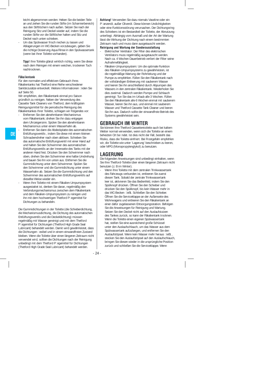leicht abgenommen werden: Heben Sie die beiden Teile an und ziehen Sie die runden Stifte (im Scharnierbereich) aus den Stiftlo¨chern nach außen. Setzen Sie nach der Reinigung Sitz und Deckel wieder auf, indem Sie die runden Stifte vor die Stiftlöcher halten und Sitz und Deckel nach unten schieben.

Um das Spülwasser frisch riechen zu lassen und Ablagerungen im WC-Becken vorzubeugen, geben Sie die richtige Dosierung Aqua Rinse in den Spülwassertank (wenn bei Ihrer Toilette vorhanden).

Tipp! Ihre Toilette glänzt wirklich richtig, wenn Sie diese nach dem Reinigen mit einem weichen, trockenen Tuch nachtrocknen.

#### **Fäkalientank**

Fu¨r den normalen und effektiven Gebrauch Ihres Fäkalientanks hat Thetford eine Reihe verschiedener Sanitärzusätze entwickelt. Weitere Informationen ⊡nden Sie auf Seite 50.

Wir empfehlen, den Fäkalientank einmal pro Saison gründlich zu reinigen. Neben der Verwendung des Cassette Tank Cleaners von Thetford, dem kräftigsten Reinigungsmittel für die periodische Reinigung des Fäkalientankes Ihrer Toilette, schlagen wir Folgendes vor:

- Entfernen Sie den abnehmbaren Mechanismus vom Fäkalientank; drehen Sie ihn dazu entgegen dem Uhrzeigersinn. Spülen Sie den abnehmbaren Mechanismus unter einem Wasserhahn ab.
- Entfernen Sie dann die Abdeckplatte des automatischen Entlüftungsventils , indem Sie diese mit einem kleinen Schraubendreher nach oben ablösen. Schieben Sie das automatische Entlüftungsventil mit einer Hand auf und halten Sie den Schwimmer des automatischen Entlüftungsventils an der Innenseite des Tanks mit der anderen Hand fest. Drücken Sie den Schwimmer nach oben, drehen Sie den Schwimmer eine halbe Umdrehung und bauen Sie ihn von unten aus. Entfernen Sie die Gummidichtung unter dem Schwimmer. Spülen Sie den Schwimmer und die Gummidichtung unter einem Wasserhahn ab. Setzen Sie die Gummidichtung und den Schwimmer des automatischen Entlüftungsventils auf dieselbe Weise wieder ein.
- Wenn Ihre Toilette mit einem Fäkalien-Umpumpsystem ausgestattet ist, denken Sie daran, regelmäßig den Verbindungsmechanismus zwischen dem Fäkalientank und dem Fäkalien-Umpumpsystem zu reinigen und ihn mit dem hochwertigen Thetford Plegemittel für Dichtungen zu behandeln.

Die Gummidichtungen in der Toilette (die Schieberdichtung, die Mechanismusdichtung, die Dichtung des automatischen Entlüftungsventils und die Deckeldichtung) müssen regelmäßig mit Wasser gereinigt und mit dem Thetford P⊡egemittel für Dichtungen (Thetford High Grade Seal Lubricant) behandelt werden. Damit wird gewährleistet, dass die Dichtungen Dexibel und in einem einwandfreien Zustand bleiben. Wenn die Toilette über einen längeren Zeitraum nicht verwendet wird, sollten die Dichtungen nach der Reinigung unbedingt mit dem Thetford P<sup>egemittel</sup> für Dichtungen (Thetford High Grade Seal Lubricant) behandelt werden.

Achtung! Verwenden Sie dazu niemals Vaseline oder ein P<sup>r</sup>anzenöl, außer Olivenöl. Diese können Undichtigkeiten oder eine Funktionsstörung verursachen. Der Dichtungsring des Schiebers ist ein Bestandteil der Toilette, der Abnutzung unterliegt. Abhängig vom Ausmaß und der Art der Wartung lässt die Wirkung der Dichtung nach einem bestimmten Zeitraum nach und muss dann ausgetauscht werden.<br>Reinigung und Wartung der Sonderausstattung

- Elektrischer Ventilator: Der Filter des elektrischen Ventilators muss regelmäßig ausgetauscht werden. Nach ca. 4 Wochen Dauerbetrieb verliert der Filter seine Aufnahmefähigkeit.
- Fäkalien-Umpumpsystem: Um die optimale Funktion des Fäkalien-Umpumpsystems zu gewährleisten, ist die regelmäßige Wartung der Rohrleitung und der Pumpe zu empfehlen. Füllen Sie den Fäkalientank nach der vollständigen Entleerung mit sauberem Wasser und leeren Sie ihn anschließend durch Abpumpen des Wassers in den zentralen Fäkalientank. Wiederholen Sie dies zweimal. Dadurch werden Pumpe und Schlauch gereinigt. Tun Sie das im Urlaub alle 3 Wochen. Füllen Sie den Fäkalientank alle 6 Wochen einmal mit sauberem Wasser, leeren Sie ihn aus, und einmal mit sauberem Wasser und Thetford Cassette Tank Cleaner und leeren Sie ihn aus. Dadurch sollte der einwandfreie Betrieb des Systems gewährleistet sein.

### **GEBRAUCH IM WINTER**

Sie können Ihre Thetford Cassettentoilette auch bei kaltem Wetter normal verwenden, wenn sich die Toilette an einem beheizten Ort be indet. Ist dies nicht der Fall, besteht das Risiko, dass die Toilette einfriert. Bei Frostgefahr empfehlen wir, die Toilette wie unter 'Lagerung' beschrieben zu leeren, oder MPG (Monopropylenglykol) zu benutzen.

### LAGERUNG

Die folgenden Anweisungen sind unbedingt einhalten, wenn Sie Ihre Thetford-Toilette über einen längeren Zeitraum nicht benutzen (z. B im Winter).

- Wenn Ihre Toilette mit dem zentralen Trinkwassertank des Fahrzeugs verbunden ist, entleeren Sie zuerst diesen Tank. Sobald der zentrale Trinkwassertank leer ist, aktivieren Sie das Bedienfeld, indem Sie den Spülknopf drücken. Öffnen Sie den Schieber und drücken Sie den Spülknopf, bis kein Wasser mehr in das WC-Becken Fießt. Schließen Sie den Schieber. O¨ffnen Sie die Serviceklappe an der Außenseite des Wohnwagens und entleeren Sie den Fäkalientank an einer dafür zugelassenen Entsorgungsstation. Befolgen Sie die Anweisungen für Reinigung und Wartung. Setzen Sie den Deckel nicht auf den Auslaufstutzen des Tankes zurück, so kann der Fäkalientank trocknen. Wenn die Toilette einen eigenen Spülwassertank hat, stellen Sie eine ausreichend große Schüssel unter den Auslaufschlauch, um das Wasser aus dem Spülwassertank aufzufangen, und entfernen Sie den Auslaufstöpsel. Wenn kein Wasser mehr heraus Ließt. stecken Sie den Auslaufstöpsel auf den Auslaufschlauch, bringen Sie diesen wieder in die ursprüngliche Position zurück und schließen Sie die Serviceklappe. Wenn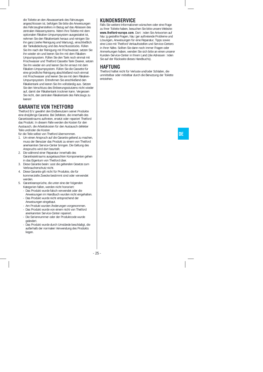die Toilette an den Abwassertank des Fahrzeuges angeschlossen ist, befolgen Sie bitte die Anweisungen des Fahrzeugherstellers in Bezug auf das Ablassen des zentralen Wassersystems. Wenn Ihre Toilette mit dem optionalen Fäkalien-Umpumpsystem ausgestattet ist, nehmen Sie den Fäkalientank heraus und reinigen Sie ihn ganz (siehe Reinigung und Wartung), einschließlich der Tankabdeckung und des Anschlussstücks. Füllen Sie ihn nach der Reinigung mit Frischwasser, setzen Sie ihn wieder ein und leeren Sie ihn mit dem Fäkalien-Umpumpsystem. Füllen Sie den Tank noch einmal mit Frischwasser und Thetford Cassette Tank Cleaner, setzen Sie ihn wieder ein und leeren Sie ihn erneut mit dem Fäkalien-Umpumpsystem. Füllen Sie die Cassette für eine gründliche Reinigung abschließend noch einmal mit Frischwasser und leeren Sie sie mit dem Fäkalien-Umpumpsystem. Entnehmen Sie anschließend den Fäkalientank und leeren Sie ihn vollständig aus. Setzen Sie den Verschluss des Entleerungsstutzens nicht wieder auf, damit der Fäkalientank trocknen kann. Vergessen Sie nicht, den zentralen Fäkalientank des Fahrzeugs zu leeren!

### **GARANTIE VON THETFORD**

Thetford B.V. gewährt den Endbenutzern seiner Produkte eine dreijährige Garantie. Bei Defekten, die innerhalb des Garantiezeitraums auftreten, ersetzt oder repariert Thetford das Produkt. In diesem Falle werden die Kosten für den Austausch, die Arbeitskosten für den Austausch defekter Teile und/oder die Kosten

für die Teile selbst von Thetford übernommen.

- 1. Um einen Anspruch auf die Garantie geltend zu machen, muss der Benutzer das Produkt zu einem von Thetford anerkannten Service-Center bringen. Die Geltung des Anspruchs wird dort beurteilt.
- 2. Die während einer Reparatur innerhalb des Garantiezeitraums ausgetauschten Komponenten gehen in das Eigentum von Thetford über.
- 3. Diese Garantie beein Lusst die geltenden Gesetze zum Verbraucherschutz nicht.
- 4. Diese Garantie gilt nicht für Produkte, die für kommerzielle Zwecke bestimmt sind oder verwendet werden.
- 5. Garantieansprüche, die unter eine der folgenden Kategorien fallen, werden nicht honoriert:
	- Das Produkt wurde falsch verwendet oder die Anweisungen im Handbuch wurden nicht eingehalten.
	- Das Produkt wurde nicht entsprechend der Anweisungen eingebaut.
	- Am Produkt wurden Änderungen vorgenommen.
	- Das Produkt wurde von einem nicht von Thetford anerkannten Service-Center repariert.
	- Die Seriennummer oder der Produktcode wurde geändert.
	- Das Produkt wurde durch Umstände beschädigt, die außerhalb der normalen Verwendung des Produkts liegen.

### **KUNDENSERVICE**

Falls Sie weitere Informationen wünschen oder eine Frage zu Ihrer Toilette haben, besuchen Sie bitte unsere Website: www.thetford-europe.com. Dort **Inden Sie Antworten auf** häu⊡g gestellte Fragen, häu⊡ger auftretende Probleme und Lösungen, Anweisungen für eine Reparatur, Tipps sowie eine Liste mit Thetford Verkaufsstellen und Service-Centers in Ihrer Nähe. Sollten Sie dann noch immer Fragen oder Anmerkungen haben, wenden Sie sich bitte an einen unserer Kunden-Service-Center in Ihrem Land (die Adressen Fnden Sie auf der Rückseite dieses Handbuchs).

### **HAFTUNG**

Thetford haftet nicht für Verluste und/oder Schäden, die unmittelbar oder mittelbar durch die Benutzung der Toilette entstehen.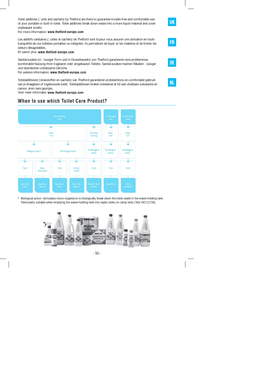Toilet additives (Luids and sachets) by Thetford are there to guarantee trouble-free and comfortable use of your portable or built-in toilet. Toilet additives break down waste into a more liquid material and cover unpleasant smells.

For more information: www.thetford-europe.com

Les additifs sanitaires (Duides et sachets) de Thetford sont là pour vous assurer une utilisation en toute tranquillité de vos toilettes portables ou intégrées. Ils permettent de liqué<sup>rer</sup> les matières et de limiter les odeurs désagréables.

En savoir plus: www.thetford-europe.com

Sanitärzusätze (in ⊡üssiger Form und in Dosierbeuteln) von Thetford garantieren eine problemlose, komfortable Nutzung Ihrer tragbaren oder eingebauten Toilette. Sanitärzusätze machen Fäkalien Eüssiger und überdecken unliebsame Gerüche.

Für weitere information: www.thetford-europe.com

Toiletadditieven (vloeistoffen en sachets) van Thetford garanderen probleemloos en comfortabel gebruik van je draagbare of ingebouwde toilet. Toiletadditieven breken toiletafval af tot een vloeibare substantie en camou<sup>r</sup>eren nare geurties.

Voor meer informatie: www.thetford-europe.com

### When to use which Toilet Care Product?



\* Biological action: stimulates micro-organisms to biologically break down the toilet waste in the waste-holding tank. Particularly suitable when emptying the waste-holding tank into septic tanks on camp sites (Test ISO 11734).





**DE** 

**NL**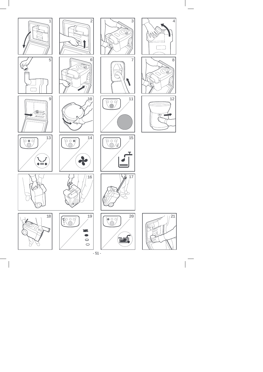

















. L<br>C  $\bigcirc$  $\circ$